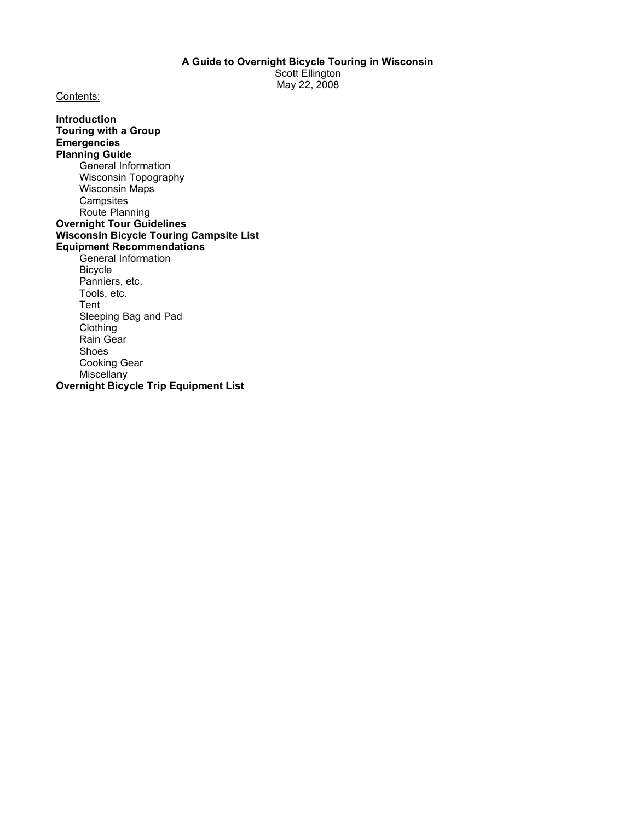Contents:

**Introduction Touring with a Group Emergencies Planning Guide** General Information Wisconsin Topography Wisconsin Maps **Campsites** Route Planning **Overnight Tour Guidelines Wisconsin Bicycle Touring Campsite List Equipment Recommendations** General Information Bicycle Panniers, etc. Tools, etc. Tent Sleeping Bag and Pad Clothing Rain Gear Shoes Cooking Gear **Miscellany Overnight Bicycle Trip Equipment List**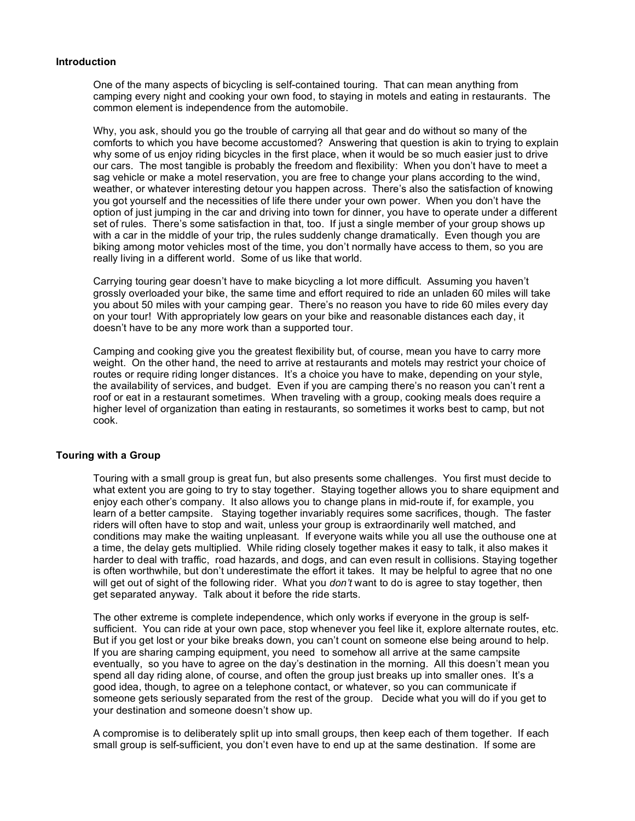### **Introduction**

One of the many aspects of bicycling is self-contained touring. That can mean anything from camping every night and cooking your own food, to staying in motels and eating in restaurants. The common element is independence from the automobile.

Why, you ask, should you go the trouble of carrying all that gear and do without so many of the comforts to which you have become accustomed? Answering that question is akin to trying to explain why some of us enjoy riding bicycles in the first place, when it would be so much easier just to drive our cars. The most tangible is probably the freedom and flexibility: When you don't have to meet a sag vehicle or make a motel reservation, you are free to change your plans according to the wind, weather, or whatever interesting detour you happen across. There's also the satisfaction of knowing you got yourself and the necessities of life there under your own power. When you don't have the option of just jumping in the car and driving into town for dinner, you have to operate under a different set of rules. There's some satisfaction in that, too. If just a single member of your group shows up with a car in the middle of your trip, the rules suddenly change dramatically. Even though you are biking among motor vehicles most of the time, you don't normally have access to them, so you are really living in a different world. Some of us like that world.

Carrying touring gear doesn't have to make bicycling a lot more difficult. Assuming you haven't grossly overloaded your bike, the same time and effort required to ride an unladen 60 miles will take you about 50 miles with your camping gear. There's no reason you have to ride 60 miles every day on your tour! With appropriately low gears on your bike and reasonable distances each day, it doesn't have to be any more work than a supported tour.

Camping and cooking give you the greatest flexibility but, of course, mean you have to carry more weight. On the other hand, the need to arrive at restaurants and motels may restrict your choice of routes or require riding longer distances. It's a choice you have to make, depending on your style, the availability of services, and budget. Even if you are camping there's no reason you can't rent a roof or eat in a restaurant sometimes. When traveling with a group, cooking meals does require a higher level of organization than eating in restaurants, so sometimes it works best to camp, but not cook.

### **Touring with a Group**

Touring with a small group is great fun, but also presents some challenges. You first must decide to what extent you are going to try to stay together. Staying together allows you to share equipment and enjoy each other's company. It also allows you to change plans in mid-route if, for example, you learn of a better campsite. Staying together invariably requires some sacrifices, though. The faster riders will often have to stop and wait, unless your group is extraordinarily well matched, and conditions may make the waiting unpleasant. If everyone waits while you all use the outhouse one at a time, the delay gets multiplied. While riding closely together makes it easy to talk, it also makes it harder to deal with traffic, road hazards, and dogs, and can even result in collisions. Staying together is often worthwhile, but don't underestimate the effort it takes. It may be helpful to agree that no one will get out of sight of the following rider. What you *don't* want to do is agree to stay together, then get separated anyway. Talk about it before the ride starts.

The other extreme is complete independence, which only works if everyone in the group is selfsufficient. You can ride at your own pace, stop whenever you feel like it, explore alternate routes, etc. But if you get lost or your bike breaks down, you can't count on someone else being around to help. If you are sharing camping equipment, you need to somehow all arrive at the same campsite eventually, so you have to agree on the day's destination in the morning. All this doesn't mean you spend all day riding alone, of course, and often the group just breaks up into smaller ones. It's a good idea, though, to agree on a telephone contact, or whatever, so you can communicate if someone gets seriously separated from the rest of the group. Decide what you will do if you get to your destination and someone doesn't show up.

A compromise is to deliberately split up into small groups, then keep each of them together. If each small group is self-sufficient, you don't even have to end up at the same destination. If some are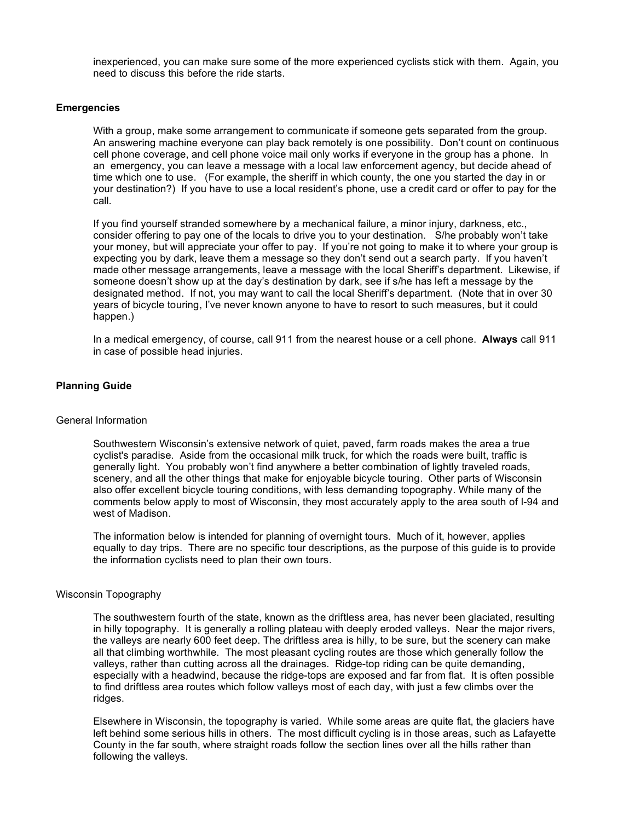inexperienced, you can make sure some of the more experienced cyclists stick with them. Again, you need to discuss this before the ride starts.

### **Emergencies**

With a group, make some arrangement to communicate if someone gets separated from the group. An answering machine everyone can play back remotely is one possibility. Don't count on continuous cell phone coverage, and cell phone voice mail only works if everyone in the group has a phone. In an emergency, you can leave a message with a local law enforcement agency, but decide ahead of time which one to use. (For example, the sheriff in which county, the one you started the day in or your destination?) If you have to use a local resident's phone, use a credit card or offer to pay for the call.

If you find yourself stranded somewhere by a mechanical failure, a minor injury, darkness, etc., consider offering to pay one of the locals to drive you to your destination. S/he probably won't take your money, but will appreciate your offer to pay. If you're not going to make it to where your group is expecting you by dark, leave them a message so they don't send out a search party. If you haven't made other message arrangements, leave a message with the local Sheriff's department. Likewise, if someone doesn't show up at the day's destination by dark, see if s/he has left a message by the designated method. If not, you may want to call the local Sheriff's department. (Note that in over 30 years of bicycle touring, I've never known anyone to have to resort to such measures, but it could happen.)

In a medical emergency, of course, call 911 from the nearest house or a cell phone. **Always** call 911 in case of possible head injuries.

### **Planning Guide**

### General Information

Southwestern Wisconsin's extensive network of quiet, paved, farm roads makes the area a true cyclist's paradise. Aside from the occasional milk truck, for which the roads were built, traffic is generally light. You probably won't find anywhere a better combination of lightly traveled roads, scenery, and all the other things that make for enjoyable bicycle touring. Other parts of Wisconsin also offer excellent bicycle touring conditions, with less demanding topography. While many of the comments below apply to most of Wisconsin, they most accurately apply to the area south of I-94 and west of Madison.

The information below is intended for planning of overnight tours. Much of it, however, applies equally to day trips. There are no specific tour descriptions, as the purpose of this guide is to provide the information cyclists need to plan their own tours.

### Wisconsin Topography

The southwestern fourth of the state, known as the driftless area, has never been glaciated, resulting in hilly topography. It is generally a rolling plateau with deeply eroded valleys. Near the major rivers, the valleys are nearly 600 feet deep. The driftless area is hilly, to be sure, but the scenery can make all that climbing worthwhile. The most pleasant cycling routes are those which generally follow the valleys, rather than cutting across all the drainages. Ridge-top riding can be quite demanding, especially with a headwind, because the ridge-tops are exposed and far from flat. It is often possible to find driftless area routes which follow valleys most of each day, with just a few climbs over the ridges.

Elsewhere in Wisconsin, the topography is varied. While some areas are quite flat, the glaciers have left behind some serious hills in others. The most difficult cycling is in those areas, such as Lafayette County in the far south, where straight roads follow the section lines over all the hills rather than following the valleys.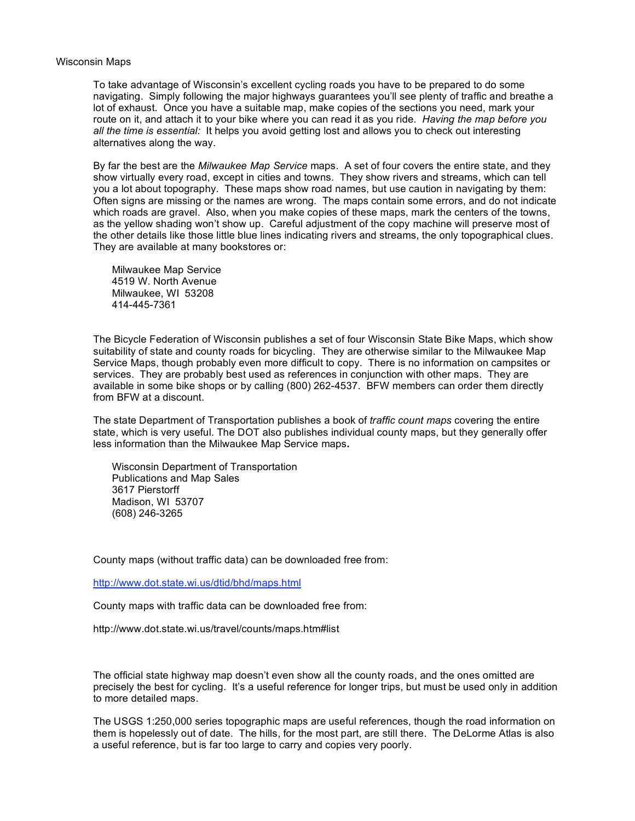#### Wisconsin Maps

To take advantage of Wisconsin's excellent cycling roads you have to be prepared to do some navigating. Simply following the major highways guarantees you'll see plenty of traffic and breathe a lot of exhaust. Once you have a suitable map, make copies of the sections you need, mark your route on it, and attach it to your bike where you can read it as you ride*. Having the map before you all the time is essential:* It helps you avoid getting lost and allows you to check out interesting alternatives along the way.

By far the best are the *Milwaukee Map Service* maps. A set of four covers the entire state, and they show virtually every road, except in cities and towns. They show rivers and streams, which can tell you a lot about topography. These maps show road names, but use caution in navigating by them: Often signs are missing or the names are wrong. The maps contain some errors, and do not indicate which roads are gravel. Also, when you make copies of these maps, mark the centers of the towns, as the yellow shading won't show up. Careful adjustment of the copy machine will preserve most of the other details like those little blue lines indicating rivers and streams, the only topographical clues. They are available at many bookstores or:

Milwaukee Map Service 4519 W. North Avenue Milwaukee, WI 53208 414-445-7361

The Bicycle Federation of Wisconsin publishes a set of four Wisconsin State Bike Maps, which show suitability of state and county roads for bicycling. They are otherwise similar to the Milwaukee Map Service Maps, though probably even more difficult to copy. There is no information on campsites or services. They are probably best used as references in conjunction with other maps. They are available in some bike shops or by calling (800) 262-4537. BFW members can order them directly from BFW at a discount.

The state Department of Transportation publishes a book of *traffic count maps* covering the entire state, which is very useful. The DOT also publishes individual county maps, but they generally offer less information than the Milwaukee Map Service maps**.**

Wisconsin Department of Transportation Publications and Map Sales 3617 Pierstorff Madison, WI 53707 (608) 246-3265

County maps (without traffic data) can be downloaded free from:

http://www.dot.state.wi.us/dtid/bhd/maps.html

County maps with traffic data can be downloaded free from:

http://www.dot.state.wi.us/travel/counts/maps.htm#list

The official state highway map doesn't even show all the county roads, and the ones omitted are precisely the best for cycling. It's a useful reference for longer trips, but must be used only in addition to more detailed maps.

The USGS 1:250,000 series topographic maps are useful references, though the road information on them is hopelessly out of date. The hills, for the most part, are still there. The DeLorme Atlas is also a useful reference, but is far too large to carry and copies very poorly.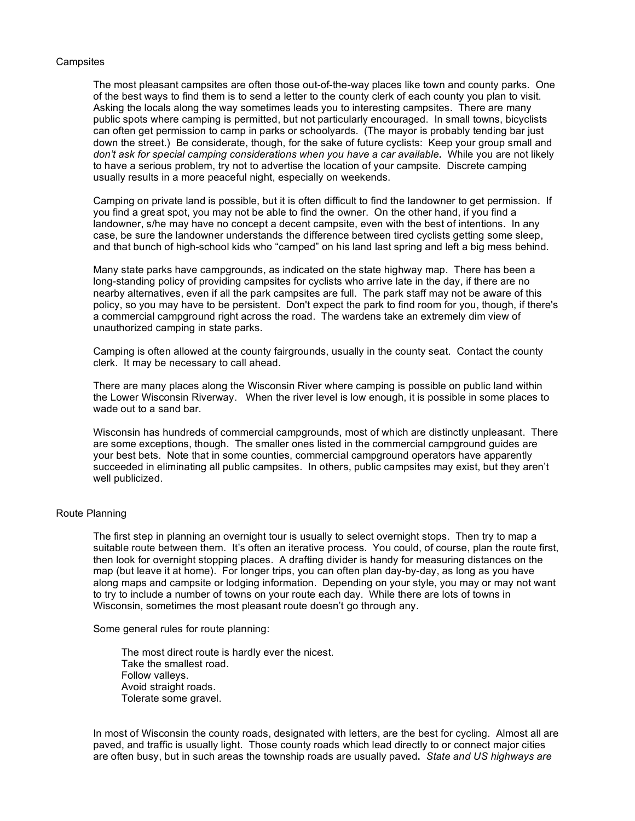### **Campsites**

The most pleasant campsites are often those out-of-the-way places like town and county parks. One of the best ways to find them is to send a letter to the county clerk of each county you plan to visit. Asking the locals along the way sometimes leads you to interesting campsites. There are many public spots where camping is permitted, but not particularly encouraged. In small towns, bicyclists can often get permission to camp in parks or schoolyards. (The mayor is probably tending bar just down the street.) Be considerate, though, for the sake of future cyclists: Keep your group small and *don't ask for special camping considerations when you have a car available***.** While you are not likely to have a serious problem, try not to advertise the location of your campsite. Discrete camping usually results in a more peaceful night, especially on weekends.

Camping on private land is possible, but it is often difficult to find the landowner to get permission. If you find a great spot, you may not be able to find the owner. On the other hand, if you find a landowner, s/he may have no concept a decent campsite, even with the best of intentions. In any case, be sure the landowner understands the difference between tired cyclists getting some sleep, and that bunch of high-school kids who "camped" on his land last spring and left a big mess behind.

Many state parks have campgrounds, as indicated on the state highway map. There has been a long-standing policy of providing campsites for cyclists who arrive late in the day, if there are no nearby alternatives, even if all the park campsites are full. The park staff may not be aware of this policy, so you may have to be persistent. Don't expect the park to find room for you, though, if there's a commercial campground right across the road. The wardens take an extremely dim view of unauthorized camping in state parks.

Camping is often allowed at the county fairgrounds, usually in the county seat. Contact the county clerk. It may be necessary to call ahead.

There are many places along the Wisconsin River where camping is possible on public land within the Lower Wisconsin Riverway. When the river level is low enough, it is possible in some places to wade out to a sand bar.

Wisconsin has hundreds of commercial campgrounds, most of which are distinctly unpleasant. There are some exceptions, though. The smaller ones listed in the commercial campground guides are your best bets. Note that in some counties, commercial campground operators have apparently succeeded in eliminating all public campsites. In others, public campsites may exist, but they aren't well publicized.

#### Route Planning

The first step in planning an overnight tour is usually to select overnight stops. Then try to map a suitable route between them. It's often an iterative process. You could, of course, plan the route first, then look for overnight stopping places. A drafting divider is handy for measuring distances on the map (but leave it at home). For longer trips, you can often plan day-by-day, as long as you have along maps and campsite or lodging information. Depending on your style, you may or may not want to try to include a number of towns on your route each day. While there are lots of towns in Wisconsin, sometimes the most pleasant route doesn't go through any.

Some general rules for route planning:

The most direct route is hardly ever the nicest. Take the smallest road. Follow valleys. Avoid straight roads. Tolerate some gravel.

In most of Wisconsin the county roads, designated with letters, are the best for cycling. Almost all are paved, and traffic is usually light. Those county roads which lead directly to or connect major cities are often busy, but in such areas the township roads are usually paved**.** *State and US highways are*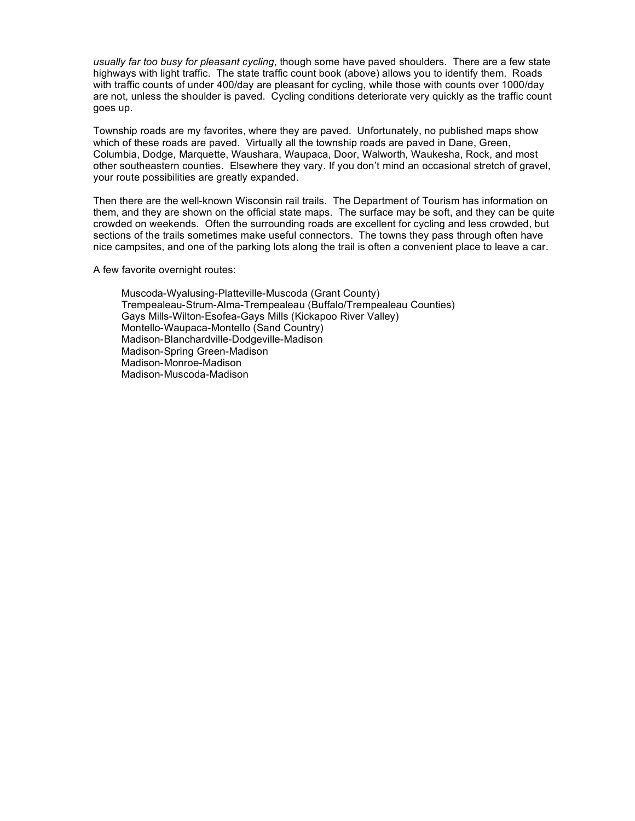*usually far too busy for pleasant cycling*, though some have paved shoulders. There are a few state highways with light traffic. The state traffic count book (above) allows you to identify them. Roads with traffic counts of under 400/day are pleasant for cycling, while those with counts over 1000/day are not, unless the shoulder is paved. Cycling conditions deteriorate very quickly as the traffic count goes up.

Township roads are my favorites, where they are paved. Unfortunately, no published maps show which of these roads are paved. Virtually all the township roads are paved in Dane, Green, Columbia, Dodge, Marquette, Waushara, Waupaca, Door, Walworth, Waukesha, Rock, and most other southeastern counties. Elsewhere they vary. If you don't mind an occasional stretch of gravel, your route possibilities are greatly expanded.

Then there are the well-known Wisconsin rail trails. The Department of Tourism has information on them, and they are shown on the official state maps. The surface may be soft, and they can be quite crowded on weekends. Often the surrounding roads are excellent for cycling and less crowded, but sections of the trails sometimes make useful connectors. The towns they pass through often have nice campsites, and one of the parking lots along the trail is often a convenient place to leave a car.

A few favorite overnight routes:

Muscoda-Wyalusing-Platteville-Muscoda (Grant County) Trempealeau-Strum-Alma-Trempealeau (Buffalo/Trempealeau Counties) Gays Mills-Wilton-Esofea-Gays Mills (Kickapoo River Valley) Montello-Waupaca-Montello (Sand Country) Madison-Blanchardville-Dodgeville-Madison Madison-Spring Green-Madison Madison-Monroe-Madison Madison-Muscoda-Madison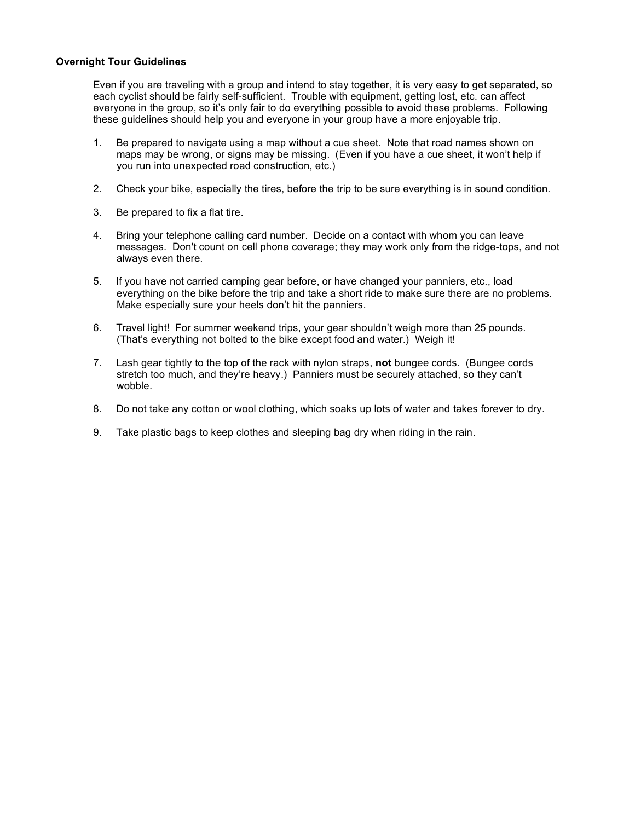### **Overnight Tour Guidelines**

Even if you are traveling with a group and intend to stay together, it is very easy to get separated, so each cyclist should be fairly self-sufficient. Trouble with equipment, getting lost, etc. can affect everyone in the group, so it's only fair to do everything possible to avoid these problems. Following these guidelines should help you and everyone in your group have a more enjoyable trip.

- 1. Be prepared to navigate using a map without a cue sheet. Note that road names shown on maps may be wrong, or signs may be missing. (Even if you have a cue sheet, it won't help if you run into unexpected road construction, etc.)
- 2. Check your bike, especially the tires, before the trip to be sure everything is in sound condition.
- 3. Be prepared to fix a flat tire.
- 4. Bring your telephone calling card number. Decide on a contact with whom you can leave messages. Don't count on cell phone coverage; they may work only from the ridge-tops, and not always even there.
- 5. If you have not carried camping gear before, or have changed your panniers, etc., load everything on the bike before the trip and take a short ride to make sure there are no problems. Make especially sure your heels don't hit the panniers.
- 6. Travel light! For summer weekend trips, your gear shouldn't weigh more than 25 pounds. (That's everything not bolted to the bike except food and water.) Weigh it!
- 7. Lash gear tightly to the top of the rack with nylon straps, **not** bungee cords. (Bungee cords stretch too much, and they're heavy.) Panniers must be securely attached, so they can't wobble.
- 8. Do not take any cotton or wool clothing, which soaks up lots of water and takes forever to dry.
- 9. Take plastic bags to keep clothes and sleeping bag dry when riding in the rain.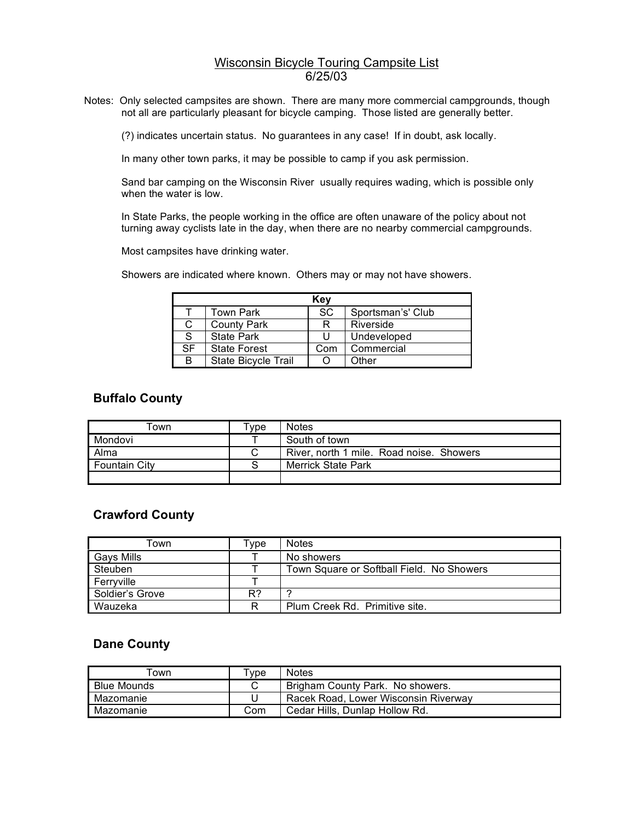### Wisconsin Bicycle Touring Campsite List  $\overline{6/25/03}$

Notes: Only selected campsites are shown. There are many more commercial campgrounds, though not all are particularly pleasant for bicycle camping. Those listed are generally better.

(?) indicates uncertain status. No guarantees in any case! If in doubt, ask locally.

In many other town parks, it may be possible to camp if you ask permission.

Sand bar camping on the Wisconsin River usually requires wading, which is possible only when the water is low.

In State Parks, the people working in the office are often unaware of the policy about not turning away cyclists late in the day, when there are no nearby commercial campgrounds.

Most campsites have drinking water.

Showers are indicated where known. Others may or may not have showers.

|           | Key                 |           |                   |  |  |  |
|-----------|---------------------|-----------|-------------------|--|--|--|
|           | Town Park           | <b>SC</b> | Sportsman's' Club |  |  |  |
| С         | <b>County Park</b>  | R         | Riverside         |  |  |  |
| S         | <b>State Park</b>   | U         | Undeveloped       |  |  |  |
| <b>SF</b> | <b>State Forest</b> | Com       | Commercial        |  |  |  |
| B         | State Bicycle Trail |           | Other             |  |  |  |

### **Buffalo County**

| ™own                 | vpe <sup>-</sup> | Notes                                    |
|----------------------|------------------|------------------------------------------|
| Mondovi              |                  | South of town                            |
| Alma                 | С                | River, north 1 mile. Road noise. Showers |
| <b>Fountain City</b> |                  | <b>Merrick State Park</b>                |
|                      |                  |                                          |

### **Crawford County**

| ⊺own              | vpe <sup>-</sup> | <b>Notes</b>                              |
|-------------------|------------------|-------------------------------------------|
| <b>Gavs Mills</b> |                  | No showers                                |
| Steuben           |                  | Town Square or Softball Field. No Showers |
| Ferrvville        |                  |                                           |
| Soldier's Grove   | R?               |                                           |
| Wauzeka           | R                | Plum Creek Rd. Primitive site.            |

### **Dane County**

| own                | Tvpe: | <b>Notes</b>                         |
|--------------------|-------|--------------------------------------|
| <b>Blue Mounds</b> |       | Brigham County Park. No showers.     |
| Mazomanie          |       | Racek Road, Lower Wisconsin Riverway |
| Mazomanie          | Com   | Cedar Hills, Dunlap Hollow Rd.       |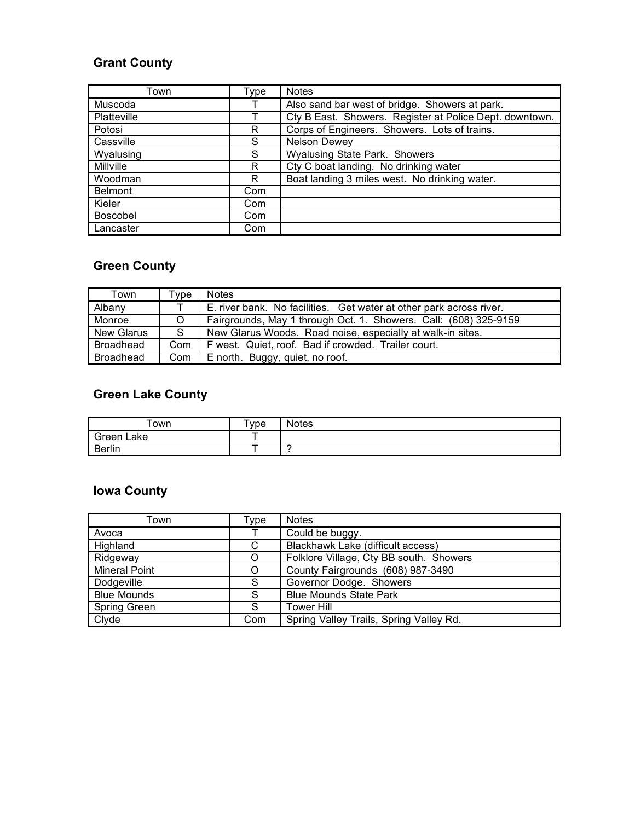## **Grant County**

| Town             | Type | <b>Notes</b>                                            |
|------------------|------|---------------------------------------------------------|
| Muscoda          |      | Also sand bar west of bridge. Showers at park.          |
| Platteville      |      | Cty B East. Showers. Register at Police Dept. downtown. |
| Potosi           | R    | Corps of Engineers. Showers. Lots of trains.            |
| Cassville        | S    | Nelson Dewey                                            |
| Wyalusing        | S    | <b>Wyalusing State Park. Showers</b>                    |
| <b>Millville</b> | R    | Cty C boat landing. No drinking water                   |
| Woodman          | R    | Boat landing 3 miles west. No drinking water.           |
| <b>Belmont</b>   | Com  |                                                         |
| Kieler           | Com  |                                                         |
| <b>Boscobel</b>  | Com  |                                                         |
| Lancaster        | Com  |                                                         |

# **Green County**

| Town              | Tvpe    | <b>Notes</b>                                                        |
|-------------------|---------|---------------------------------------------------------------------|
| Albany            |         | E. river bank. No facilities. Get water at other park across river. |
| Monroe            | $\circ$ | Fairgrounds, May 1 through Oct. 1. Showers. Call: (608) 325-9159    |
| <b>New Glarus</b> | -S      | New Glarus Woods. Road noise, especially at walk-in sites.          |
| Broadhead         | Com     | F west. Quiet, roof. Bad if crowded. Trailer court.                 |
| Broadhead         | Com     | E north. Buggy, quiet, no roof.                                     |

# **Green Lake County**

| own           | $v_{\text{Vpe}}$ | <b>Notes</b> |
|---------------|------------------|--------------|
| Green<br>∟ake | -                |              |
| Berlin        | -                |              |

# **Iowa County**

| Town                 | Type | <b>Notes</b>                            |
|----------------------|------|-----------------------------------------|
| Avoca                |      | Could be buggy.                         |
| Highland             | C    | Blackhawk Lake (difficult access)       |
| Ridgeway             | O    | Folklore Village, Cty BB south. Showers |
| <b>Mineral Point</b> | Ω    | County Fairgrounds (608) 987-3490       |
| Dodgeville           | S    | Governor Dodge. Showers                 |
| <b>Blue Mounds</b>   | S    | <b>Blue Mounds State Park</b>           |
| <b>Spring Green</b>  | S    | <b>Tower Hill</b>                       |
| Clyde                | Com  | Spring Valley Trails, Spring Valley Rd. |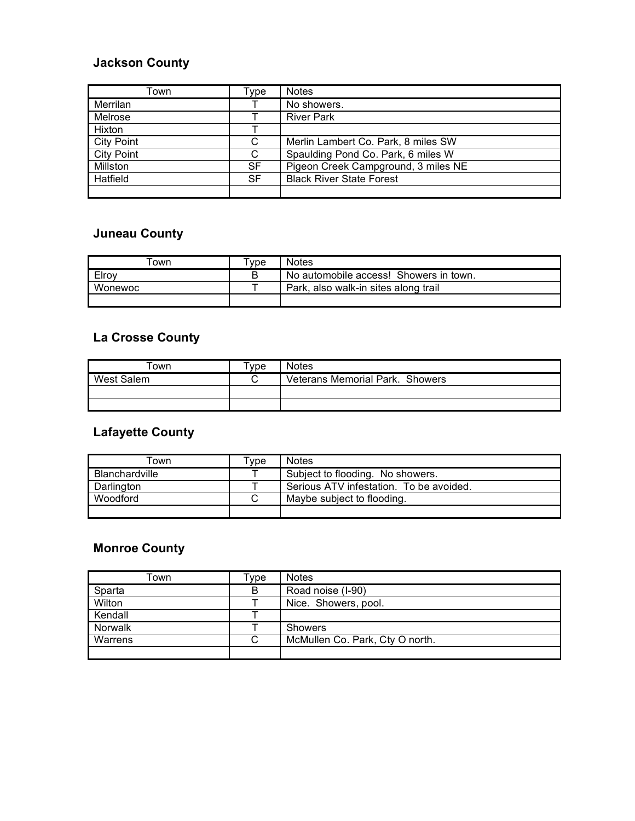### **Jackson County**

| Town              | Type | <b>Notes</b>                        |
|-------------------|------|-------------------------------------|
| Merrilan          |      | No showers.                         |
| Melrose           |      | <b>River Park</b>                   |
| Hixton            |      |                                     |
| <b>City Point</b> | C    | Merlin Lambert Co. Park, 8 miles SW |
| <b>City Point</b> | C    | Spaulding Pond Co. Park, 6 miles W  |
| Millston          | SF   | Pigeon Creek Campground, 3 miles NE |
| Hatfield          | SF   | <b>Black River State Forest</b>     |
|                   |      |                                     |

## **Juneau County**

| own     | vpe - | <b>Notes</b>                           |
|---------|-------|----------------------------------------|
| Elroy   | В     | No automobile access! Showers in town. |
| Wonewoc |       | Park, also walk-in sites along trail   |
|         |       |                                        |

## **La Crosse County**

| ™own       | Tvpe : | <b>Notes</b>                    |
|------------|--------|---------------------------------|
| West Salem |        | Veterans Memorial Park. Showers |
|            |        |                                 |
|            |        |                                 |

### **Lafayette County**

| .<br>Town      | ™vpe | <b>Notes</b>                            |
|----------------|------|-----------------------------------------|
| Blanchardville |      | Subject to flooding. No showers.        |
| Darlington     |      | Serious ATV infestation. To be avoided. |
| Woodford       | С    | Maybe subject to flooding.              |
|                |      |                                         |

## **Monroe County**

| Town    | ™vpe | <b>Notes</b>                    |
|---------|------|---------------------------------|
| Sparta  | B    | Road noise (I-90)               |
| Wilton  |      | Nice. Showers, pool.            |
| Kendall |      |                                 |
| Norwalk |      | <b>Showers</b>                  |
| Warrens | С    | McMullen Co. Park, Cty O north. |
|         |      |                                 |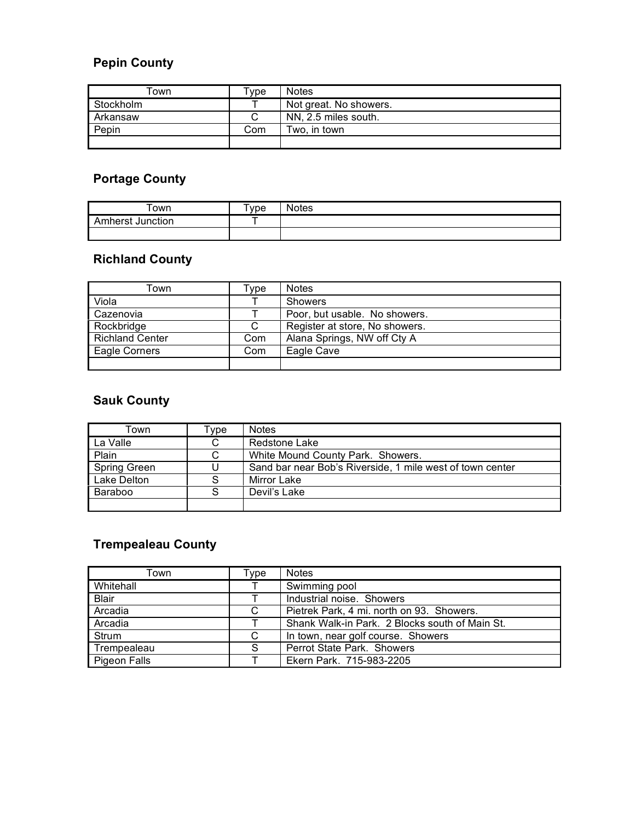# **Pepin County**

| ⊺own      | Type | <b>Notes</b>           |
|-----------|------|------------------------|
| Stockholm |      | Not great. No showers. |
| Arkansaw  | С    | NN, 2.5 miles south.   |
| Pepin     | Com  | Two, in town           |
|           |      |                        |

# **Portage County**

| -own             | $T$ <sub>V</sub> pe | مماما<br>ເອວ |
|------------------|---------------------|--------------|
| orot.<br>unction |                     |              |
|                  |                     |              |

# **Richland County**

| ⊺own                   | ⊺vpe | <b>Notes</b>                   |
|------------------------|------|--------------------------------|
| Viola                  |      | <b>Showers</b>                 |
| Cazenovia              |      | Poor, but usable. No showers.  |
| Rockbridge             | С    | Register at store, No showers. |
| <b>Richland Center</b> | Com  | Alana Springs, NW off Cty A    |
| Eagle Corners          | Com  | Eagle Cave                     |
|                        |      |                                |

## **Sauk County**

| Town                | ⊺ype | <b>Notes</b>                                              |
|---------------------|------|-----------------------------------------------------------|
| La Valle            | С    | Redstone Lake                                             |
| Plain               |      | White Mound County Park. Showers.                         |
| <b>Spring Green</b> |      | Sand bar near Bob's Riverside, 1 mile west of town center |
| Lake Delton         |      | Mirror Lake                                               |
| Baraboo             |      | Devil's Lake                                              |
|                     |      |                                                           |

# **Trempealeau County**

| Town         | Type | <b>Notes</b>                                   |
|--------------|------|------------------------------------------------|
| Whitehall    |      | Swimming pool                                  |
| <b>Blair</b> |      | Industrial noise. Showers                      |
| Arcadia      | C    | Pietrek Park, 4 mi. north on 93. Showers.      |
| Arcadia      |      | Shank Walk-in Park. 2 Blocks south of Main St. |
| Strum        | C    | In town, near golf course. Showers             |
| Trempealeau  | S    | Perrot State Park. Showers                     |
| Pigeon Falls |      | Ekern Park. 715-983-2205                       |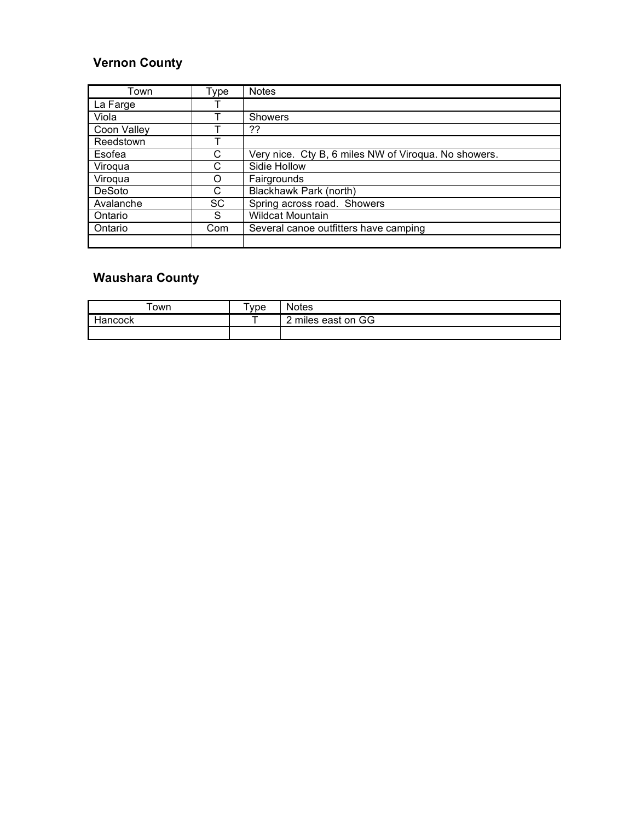### **Vernon County**

| Town        | Type      | <b>Notes</b>                                         |  |
|-------------|-----------|------------------------------------------------------|--|
| La Farge    |           |                                                      |  |
| Viola       |           | Showers                                              |  |
| Coon Valley |           | ??                                                   |  |
| Reedstown   |           |                                                      |  |
| Esofea      | С         | Very nice. Cty B, 6 miles NW of Viroqua. No showers. |  |
| Viroqua     | C         | Sidie Hollow                                         |  |
| Viroqua     | Ω         | Fairgrounds                                          |  |
| DeSoto      | C         | Blackhawk Park (north)                               |  |
| Avalanche   | <b>SC</b> | Spring across road. Showers                          |  |
| Ontario     | S         | <b>Wildcat Mountain</b>                              |  |
| Ontario     | Com       | Several canoe outfitters have camping                |  |
|             |           |                                                      |  |

# **Waushara County**

| own     | vpe | Votes            |
|---------|-----|------------------|
| Hancock |     | miles east on GG |
|         |     |                  |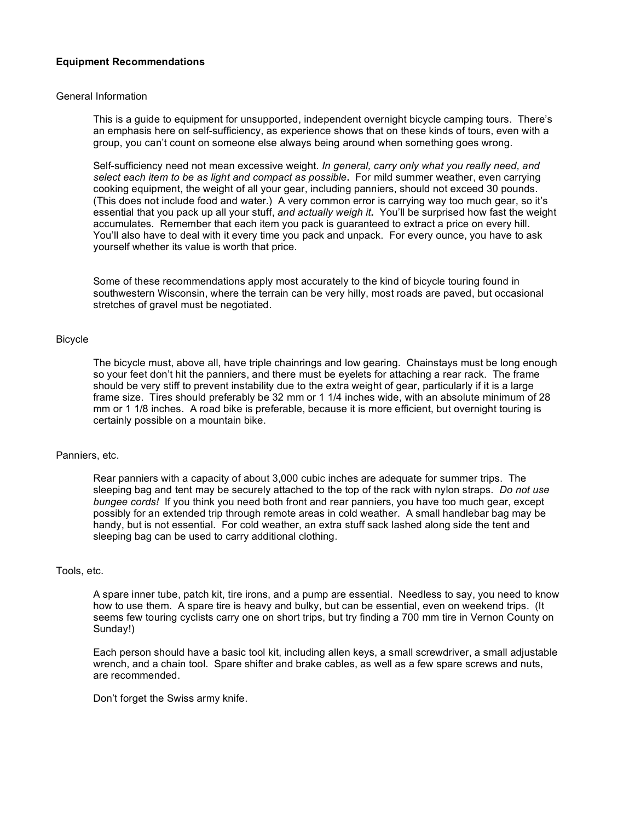### **Equipment Recommendations**

### General Information

This is a guide to equipment for unsupported, independent overnight bicycle camping tours. There's an emphasis here on self-sufficiency, as experience shows that on these kinds of tours, even with a group, you can't count on someone else always being around when something goes wrong.

Self-sufficiency need not mean excessive weight. *In general, carry only what you really need, and select each item to be as light and compact as possible***.** For mild summer weather, even carrying cooking equipment, the weight of all your gear, including panniers, should not exceed 30 pounds. (This does not include food and water.) A very common error is carrying way too much gear, so it's essential that you pack up all your stuff, *and actually weigh it***.** You'll be surprised how fast the weight accumulates. Remember that each item you pack is guaranteed to extract a price on every hill. You'll also have to deal with it every time you pack and unpack. For every ounce, you have to ask yourself whether its value is worth that price.

Some of these recommendations apply most accurately to the kind of bicycle touring found in southwestern Wisconsin, where the terrain can be very hilly, most roads are paved, but occasional stretches of gravel must be negotiated.

### Bicycle

The bicycle must, above all, have triple chainrings and low gearing. Chainstays must be long enough so your feet don't hit the panniers, and there must be eyelets for attaching a rear rack. The frame should be very stiff to prevent instability due to the extra weight of gear, particularly if it is a large frame size. Tires should preferably be 32 mm or 1 1/4 inches wide, with an absolute minimum of 28 mm or 1 1/8 inches. A road bike is preferable, because it is more efficient, but overnight touring is certainly possible on a mountain bike.

### Panniers, etc.

Rear panniers with a capacity of about 3,000 cubic inches are adequate for summer trips. The sleeping bag and tent may be securely attached to the top of the rack with nylon straps. *Do not use bungee cords!* If you think you need both front and rear panniers, you have too much gear, except possibly for an extended trip through remote areas in cold weather. A small handlebar bag may be handy, but is not essential. For cold weather, an extra stuff sack lashed along side the tent and sleeping bag can be used to carry additional clothing.

### Tools, etc.

A spare inner tube, patch kit, tire irons, and a pump are essential. Needless to say, you need to know how to use them. A spare tire is heavy and bulky, but can be essential, even on weekend trips. (It seems few touring cyclists carry one on short trips, but try finding a 700 mm tire in Vernon County on Sunday!)

Each person should have a basic tool kit, including allen keys, a small screwdriver, a small adjustable wrench, and a chain tool. Spare shifter and brake cables, as well as a few spare screws and nuts, are recommended.

Don't forget the Swiss army knife.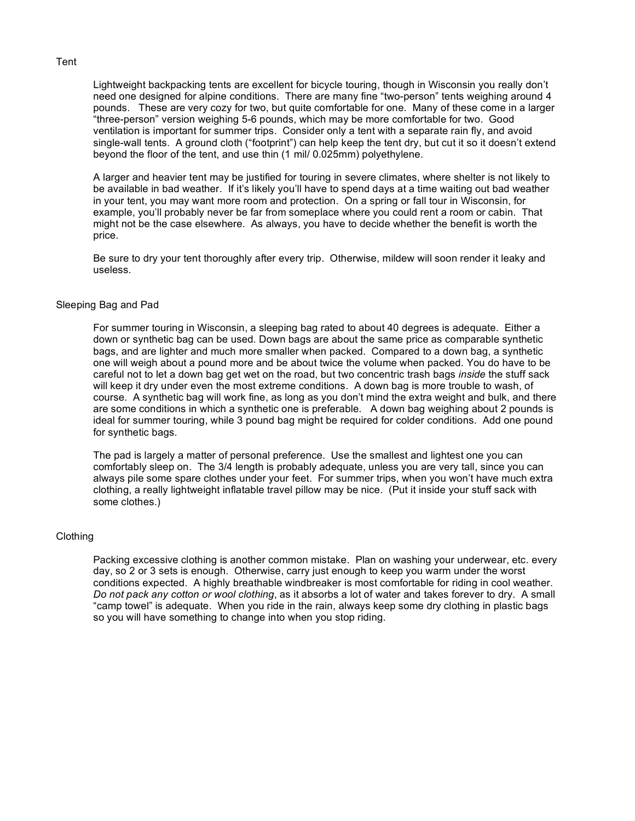#### Tent

Lightweight backpacking tents are excellent for bicycle touring, though in Wisconsin you really don't need one designed for alpine conditions. There are many fine "two-person" tents weighing around 4 pounds. These are very cozy for two, but quite comfortable for one. Many of these come in a larger "three-person" version weighing 5-6 pounds, which may be more comfortable for two. Good ventilation is important for summer trips. Consider only a tent with a separate rain fly, and avoid single-wall tents. A ground cloth ("footprint") can help keep the tent dry, but cut it so it doesn't extend beyond the floor of the tent, and use thin (1 mil/ 0.025mm) polyethylene.

A larger and heavier tent may be justified for touring in severe climates, where shelter is not likely to be available in bad weather. If it's likely you'll have to spend days at a time waiting out bad weather in your tent, you may want more room and protection. On a spring or fall tour in Wisconsin, for example, you'll probably never be far from someplace where you could rent a room or cabin. That might not be the case elsewhere. As always, you have to decide whether the benefit is worth the price.

Be sure to dry your tent thoroughly after every trip. Otherwise, mildew will soon render it leaky and useless.

### Sleeping Bag and Pad

For summer touring in Wisconsin, a sleeping bag rated to about 40 degrees is adequate. Either a down or synthetic bag can be used. Down bags are about the same price as comparable synthetic bags, and are lighter and much more smaller when packed. Compared to a down bag, a synthetic one will weigh about a pound more and be about twice the volume when packed. You do have to be careful not to let a down bag get wet on the road, but two concentric trash bags *inside* the stuff sack will keep it dry under even the most extreme conditions. A down bag is more trouble to wash, of course. A synthetic bag will work fine, as long as you don't mind the extra weight and bulk, and there are some conditions in which a synthetic one is preferable. A down bag weighing about 2 pounds is ideal for summer touring, while 3 pound bag might be required for colder conditions. Add one pound for synthetic bags.

The pad is largely a matter of personal preference. Use the smallest and lightest one you can comfortably sleep on. The 3/4 length is probably adequate, unless you are very tall, since you can always pile some spare clothes under your feet. For summer trips, when you won't have much extra clothing, a really lightweight inflatable travel pillow may be nice. (Put it inside your stuff sack with some clothes.)

### Clothing

Packing excessive clothing is another common mistake. Plan on washing your underwear, etc. every day, so 2 or 3 sets is enough. Otherwise, carry just enough to keep you warm under the worst conditions expected. A highly breathable windbreaker is most comfortable for riding in cool weather. *Do not pack any cotton or wool clothing*, as it absorbs a lot of water and takes forever to dry. A small "camp towel" is adequate. When you ride in the rain, always keep some dry clothing in plastic bags so you will have something to change into when you stop riding.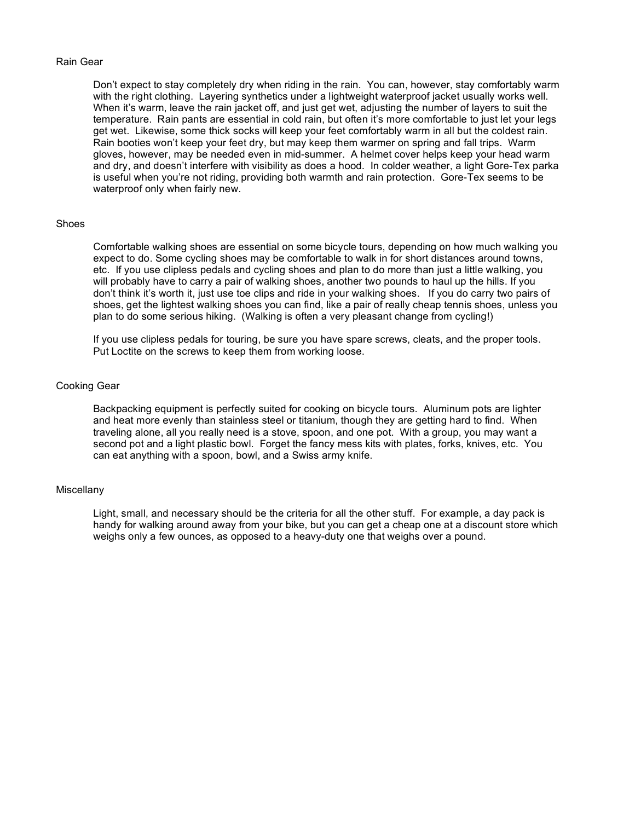#### Rain Gear

Don't expect to stay completely dry when riding in the rain. You can, however, stay comfortably warm with the right clothing. Layering synthetics under a lightweight waterproof jacket usually works well. When it's warm, leave the rain jacket off, and just get wet, adjusting the number of layers to suit the temperature. Rain pants are essential in cold rain, but often it's more comfortable to just let your legs get wet. Likewise, some thick socks will keep your feet comfortably warm in all but the coldest rain. Rain booties won't keep your feet dry, but may keep them warmer on spring and fall trips. Warm gloves, however, may be needed even in mid-summer. A helmet cover helps keep your head warm and dry, and doesn't interfere with visibility as does a hood. In colder weather, a light Gore-Tex parka is useful when you're not riding, providing both warmth and rain protection. Gore-Tex seems to be waterproof only when fairly new.

### Shoes

Comfortable walking shoes are essential on some bicycle tours, depending on how much walking you expect to do. Some cycling shoes may be comfortable to walk in for short distances around towns, etc. If you use clipless pedals and cycling shoes and plan to do more than just a little walking, you will probably have to carry a pair of walking shoes, another two pounds to haul up the hills. If you don't think it's worth it, just use toe clips and ride in your walking shoes. If you do carry two pairs of shoes, get the lightest walking shoes you can find, like a pair of really cheap tennis shoes, unless you plan to do some serious hiking. (Walking is often a very pleasant change from cycling!)

If you use clipless pedals for touring, be sure you have spare screws, cleats, and the proper tools. Put Loctite on the screws to keep them from working loose.

### Cooking Gear

Backpacking equipment is perfectly suited for cooking on bicycle tours. Aluminum pots are lighter and heat more evenly than stainless steel or titanium, though they are getting hard to find. When traveling alone, all you really need is a stove, spoon, and one pot. With a group, you may want a second pot and a light plastic bowl. Forget the fancy mess kits with plates, forks, knives, etc. You can eat anything with a spoon, bowl, and a Swiss army knife.

### **Miscellany**

Light, small, and necessary should be the criteria for all the other stuff. For example, a day pack is handy for walking around away from your bike, but you can get a cheap one at a discount store which weighs only a few ounces, as opposed to a heavy-duty one that weighs over a pound.